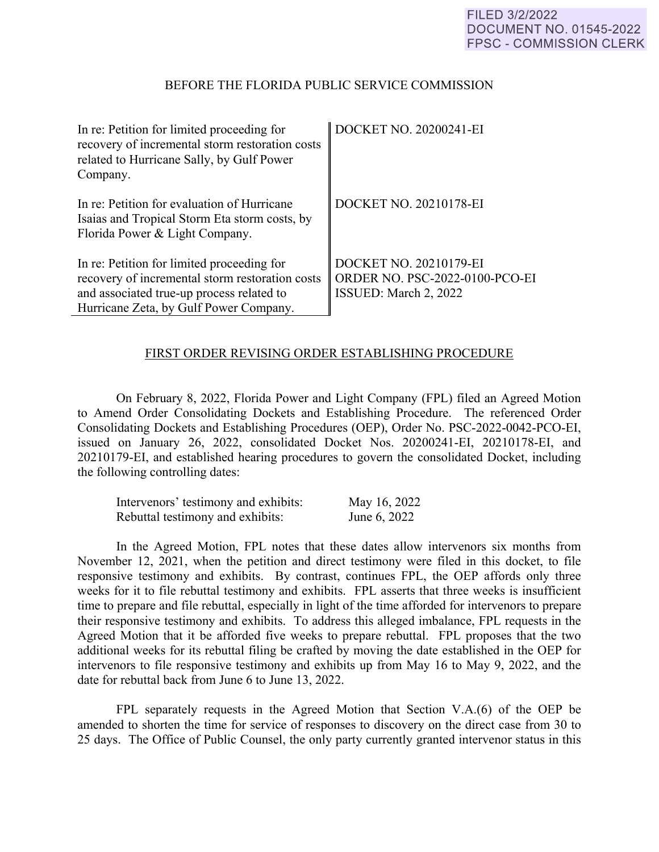## BEFORE THE FLORIDA PUBLIC SERVICE COMMISSION

| In re: Petition for limited proceeding for<br>recovery of incremental storm restoration costs<br>related to Hurricane Sally, by Gulf Power<br>Company.                               | DOCKET NO. 20200241-EI                                                            |
|--------------------------------------------------------------------------------------------------------------------------------------------------------------------------------------|-----------------------------------------------------------------------------------|
| In re: Petition for evaluation of Hurricane<br>Isaias and Tropical Storm Eta storm costs, by<br>Florida Power & Light Company.                                                       | DOCKET NO. 20210178-EI                                                            |
| In re: Petition for limited proceeding for<br>recovery of incremental storm restoration costs<br>and associated true-up process related to<br>Hurricane Zeta, by Gulf Power Company. | DOCKET NO. 20210179-EI<br>ORDER NO. PSC-2022-0100-PCO-EI<br>ISSUED: March 2, 2022 |

#### FIRST ORDER REVISING ORDER ESTABLISHING PROCEDURE

 On February 8, 2022, Florida Power and Light Company (FPL) filed an Agreed Motion to Amend Order Consolidating Dockets and Establishing Procedure. The referenced Order Consolidating Dockets and Establishing Procedures (OEP), Order No. PSC-2022-0042-PCO-EI, issued on January 26, 2022, consolidated Docket Nos. 20200241-EI, 20210178-EI, and 20210179-EI, and established hearing procedures to govern the consolidated Docket, including the following controlling dates:

| Intervenors' testimony and exhibits: | May 16, 2022 |
|--------------------------------------|--------------|
| Rebuttal testimony and exhibits:     | June 6, 2022 |

 In the Agreed Motion, FPL notes that these dates allow intervenors six months from November 12, 2021, when the petition and direct testimony were filed in this docket, to file responsive testimony and exhibits. By contrast, continues FPL, the OEP affords only three weeks for it to file rebuttal testimony and exhibits. FPL asserts that three weeks is insufficient time to prepare and file rebuttal, especially in light of the time afforded for intervenors to prepare their responsive testimony and exhibits. To address this alleged imbalance, FPL requests in the Agreed Motion that it be afforded five weeks to prepare rebuttal. FPL proposes that the two additional weeks for its rebuttal filing be crafted by moving the date established in the OEP for intervenors to file responsive testimony and exhibits up from May 16 to May 9, 2022, and the date for rebuttal back from June 6 to June 13, 2022.

 FPL separately requests in the Agreed Motion that Section V.A.(6) of the OEP be amended to shorten the time for service of responses to discovery on the direct case from 30 to 25 days. The Office of Public Counsel, the only party currently granted intervenor status in this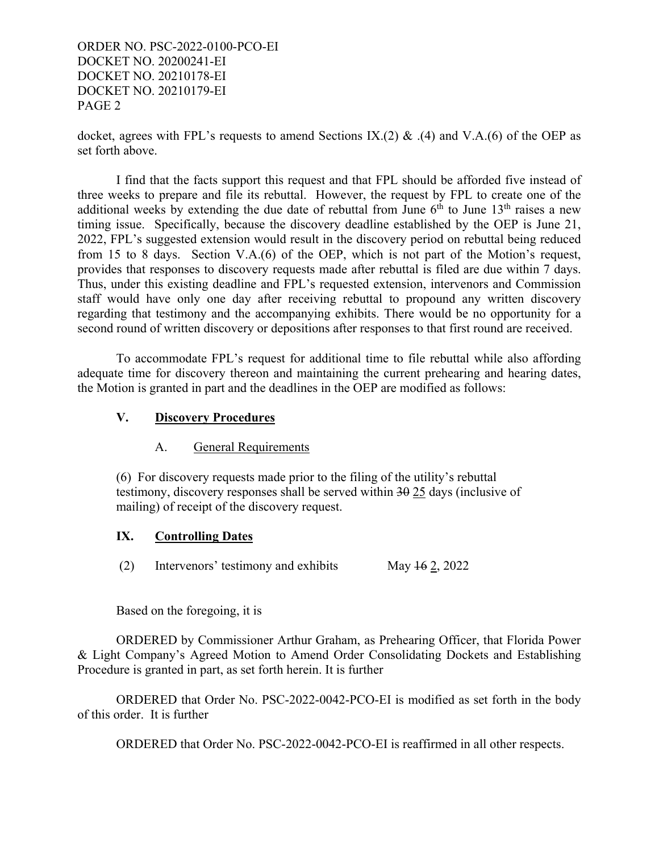ORDER NO. PSC-2022-0100-PCO-EI DOCKET NO. 20200241-EI DOCKET NO. 20210178-EI DOCKET NO. 20210179-EI PAGE 2

docket, agrees with FPL's requests to amend Sections IX.(2) & .(4) and V.A.(6) of the OEP as set forth above.

 I find that the facts support this request and that FPL should be afforded five instead of three weeks to prepare and file its rebuttal. However, the request by FPL to create one of the additional weeks by extending the due date of rebuttal from June  $6<sup>th</sup>$  to June  $13<sup>th</sup>$  raises a new timing issue. Specifically, because the discovery deadline established by the OEP is June 21, 2022, FPL's suggested extension would result in the discovery period on rebuttal being reduced from 15 to 8 days. Section V.A.(6) of the OEP, which is not part of the Motion's request, provides that responses to discovery requests made after rebuttal is filed are due within 7 days. Thus, under this existing deadline and FPL's requested extension, intervenors and Commission staff would have only one day after receiving rebuttal to propound any written discovery regarding that testimony and the accompanying exhibits. There would be no opportunity for a second round of written discovery or depositions after responses to that first round are received.

 To accommodate FPL's request for additional time to file rebuttal while also affording adequate time for discovery thereon and maintaining the current prehearing and hearing dates, the Motion is granted in part and the deadlines in the OEP are modified as follows:

# **V. Discovery Procedures**

## A. General Requirements

(6) For discovery requests made prior to the filing of the utility's rebuttal testimony, discovery responses shall be served within 30 25 days (inclusive of mailing) of receipt of the discovery request.

## **IX. Controlling Dates**

(2) Intervenors' testimony and exhibits May  $\frac{162}{2}$ , 2022

Based on the foregoing, it is

 ORDERED by Commissioner Arthur Graham, as Prehearing Officer, that Florida Power & Light Company's Agreed Motion to Amend Order Consolidating Dockets and Establishing Procedure is granted in part, as set forth herein. It is further

ORDERED that Order No. PSC-2022-0042-PCO-EI is modified as set forth in the body of this order. It is further

ORDERED that Order No. PSC-2022-0042-PCO-EI is reaffirmed in all other respects.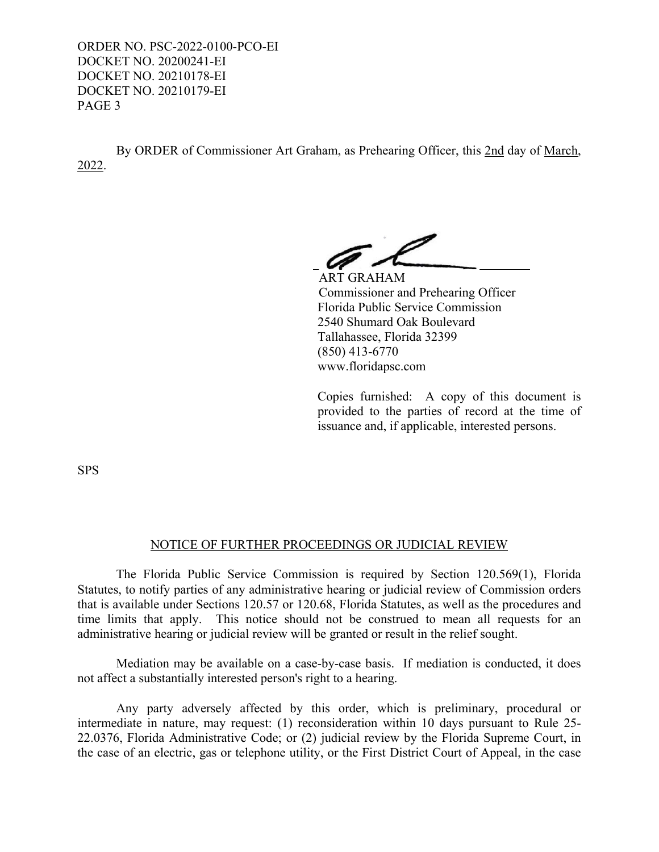ORDER NO. PSC-2022-0100-PCO-EI DOCKET NO. 20200241-EI DOCKET NO. 20210178-EI DOCKET NO. 20210179-EI PAGE 3

 By ORDER of Commissioner Art Graham, as Prehearing Officer, this 2nd day of March, 2022.

ART GRAHAM

Commissioner and Prehearing Officer Florida Public Service Commission 2540 Shumard Oak Boulevard Tallahassee, Florida 32399 (850) 413-6770 www.floridapsc.com

Copies furnished: A copy of this document is provided to the parties of record at the time of issuance and, if applicable, interested persons.

SPS

## NOTICE OF FURTHER PROCEEDINGS OR JUDICIAL REVIEW

 The Florida Public Service Commission is required by Section 120.569(1), Florida Statutes, to notify parties of any administrative hearing or judicial review of Commission orders that is available under Sections 120.57 or 120.68, Florida Statutes, as well as the procedures and time limits that apply. This notice should not be construed to mean all requests for an administrative hearing or judicial review will be granted or result in the relief sought.

 Mediation may be available on a case-by-case basis. If mediation is conducted, it does not affect a substantially interested person's right to a hearing.

 Any party adversely affected by this order, which is preliminary, procedural or intermediate in nature, may request: (1) reconsideration within 10 days pursuant to Rule 25- 22.0376, Florida Administrative Code; or (2) judicial review by the Florida Supreme Court, in the case of an electric, gas or telephone utility, or the First District Court of Appeal, in the case